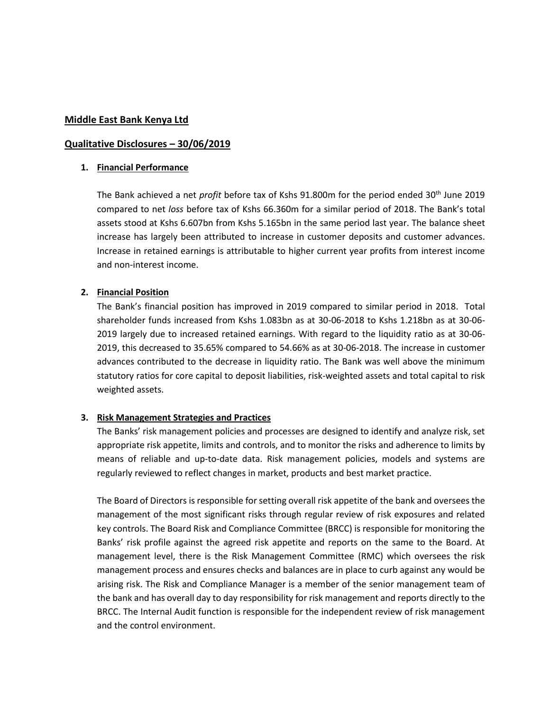#### **Middle East Bank Kenya Ltd**

#### **Qualitative Disclosures – 30/06/2019**

#### **1. Financial Performance**

The Bank achieved a net *profit* before tax of Kshs 91.800m for the period ended 30<sup>th</sup> June 2019 compared to net *loss* before tax of Kshs 66.360m for a similar period of 2018. The Bank's total assets stood at Kshs 6.607bn from Kshs 5.165bn in the same period last year. The balance sheet increase has largely been attributed to increase in customer deposits and customer advances. Increase in retained earnings is attributable to higher current year profits from interest income and non-interest income.

#### **2. Financial Position**

The Bank's financial position has improved in 2019 compared to similar period in 2018. Total shareholder funds increased from Kshs 1.083bn as at 30-06-2018 to Kshs 1.218bn as at 30-06- 2019 largely due to increased retained earnings. With regard to the liquidity ratio as at 30-06- 2019, this decreased to 35.65% compared to 54.66% as at 30-06-2018. The increase in customer advances contributed to the decrease in liquidity ratio. The Bank was well above the minimum statutory ratios for core capital to deposit liabilities, risk-weighted assets and total capital to risk weighted assets.

### **3. Risk Management Strategies and Practices**

The Banks' risk management policies and processes are designed to identify and analyze risk, set appropriate risk appetite, limits and controls, and to monitor the risks and adherence to limits by means of reliable and up-to-date data. Risk management policies, models and systems are regularly reviewed to reflect changes in market, products and best market practice.

The Board of Directors is responsible for setting overall risk appetite of the bank and oversees the management of the most significant risks through regular review of risk exposures and related key controls. The Board Risk and Compliance Committee (BRCC) is responsible for monitoring the Banks' risk profile against the agreed risk appetite and reports on the same to the Board. At management level, there is the Risk Management Committee (RMC) which oversees the risk management process and ensures checks and balances are in place to curb against any would be arising risk. The Risk and Compliance Manager is a member of the senior management team of the bank and has overall day to day responsibility for risk management and reports directly to the BRCC. The Internal Audit function is responsible for the independent review of risk management and the control environment.